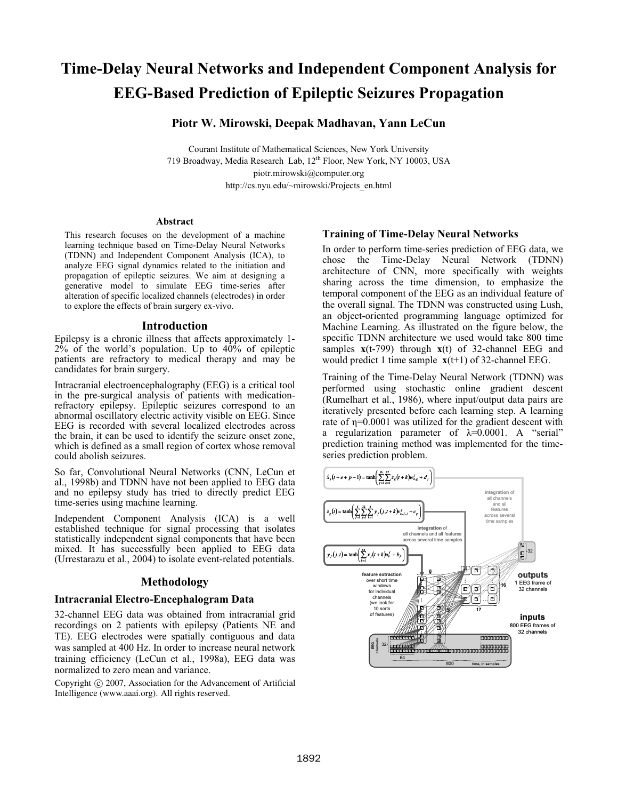# **Time-Delay Neural Networks and Independent Component Analysis for EEG-Based Prediction of Epileptic Seizures Propagation**

## **Piotr W. Mirowski, Deepak Madhavan, Yann LeCun**

Courant Institute of Mathematical Sciences, New York University 719 Broadway, Media Research Lab, 12<sup>th</sup> Floor, New York, NY 10003, USA piotr.mirowski@computer.org http://cs.nyu.edu/~mirowski/Projects\_en.html

#### **Abstract**

This research focuses on the development of a machine learning technique based on Time-Delay Neural Networks (TDNN) and Independent Component Analysis (ICA), to analyze EEG signal dynamics related to the initiation and propagation of epileptic seizures. We aim at designing a generative model to simulate EEG time-series after alteration of specific localized channels (electrodes) in order to explore the effects of brain surgery ex-vivo.

#### **Introduction**

Epilepsy is a chronic illness that affects approximately 1-  $2\%$  of the world's population. Up to  $40\%$  of epileptic patients are refractory to medical therapy and may be candidates for brain surgery.

Intracranial electroencephalography (EEG) is a critical tool in the pre-surgical analysis of patients with medicationrefractory epilepsy. Epileptic seizures correspond to an abnormal oscillatory electric activity visible on EEG. Since EEG is recorded with several localized electrodes across the brain, it can be used to identify the seizure onset zone, which is defined as a small region of cortex whose removal could abolish seizures.

al., 1998b) and TDNN have not been applied to EEG data and no epilepsy study has tried to directly predict EEG time-series using machine learning.

So far, Convolutional Neural Networks (CNN, LeCun et al., 1998b) and TDNN have not been applied to EEG data<br>and no epilepsy study has tried to directly predict EEG time-series using machine learning.<br>Independent Component Independent Component Analysis (ICA) is a well established technique for signal processing that isolates statistically independent signal components that have been mixed. It has successfully been applied to EEG data (Urrestarazu et al., 2004) to isolate event-related potentials.

## **Methodology**

#### **Intracranial Electro-Encephalogram Data**

32-channel EEG data was obtained from intracranial grid recordings on 2 patients with epilepsy (Patients NE and TE). EEG electrodes were spatially contiguous and data was sampled at 400 Hz. In order to increase neural network training efficiency (LeCun et al., 1998a), EEG data was normalized to zero mean and variance.

Copyright  $\odot$  2007, Association for the Advancement of Artificial Intelligence (www.aaai.org). All rights reserved.

## **Training of Time-Delay Neural Networks**

In order to perform time-series prediction of EEG data, we chose the Time-Delay Neural Network (TDNN) architecture of CNN, more specifically with weights sharing across the time dimension, to emphasize the temporal component of the EEG as an individual feature of the overall signal. The TDNN was constructed using Lush, an object-oriented programming language optimized for Machine Learning. As illustrated on the figure below, the specific TDNN architecture we used would take 800 time samples **x**(t-799) through **x**(t) of 32-channel EEG and would predict 1 time sample **x**(t+1) of 32-channel EEG.

Training of the Time-Delay Neural Network (TDNN) was performed using stochastic online gradient descent (Rumelhart et al., 1986), where input/output data pairs are iteratively presented before each learning step. A learning rate of  $\eta$ =0.0001 was utilized for the gradient descent with a regularization parameter of  $\lambda=0.0001$ . A "serial" prediction training method was implemented for the timeseries prediction problem.